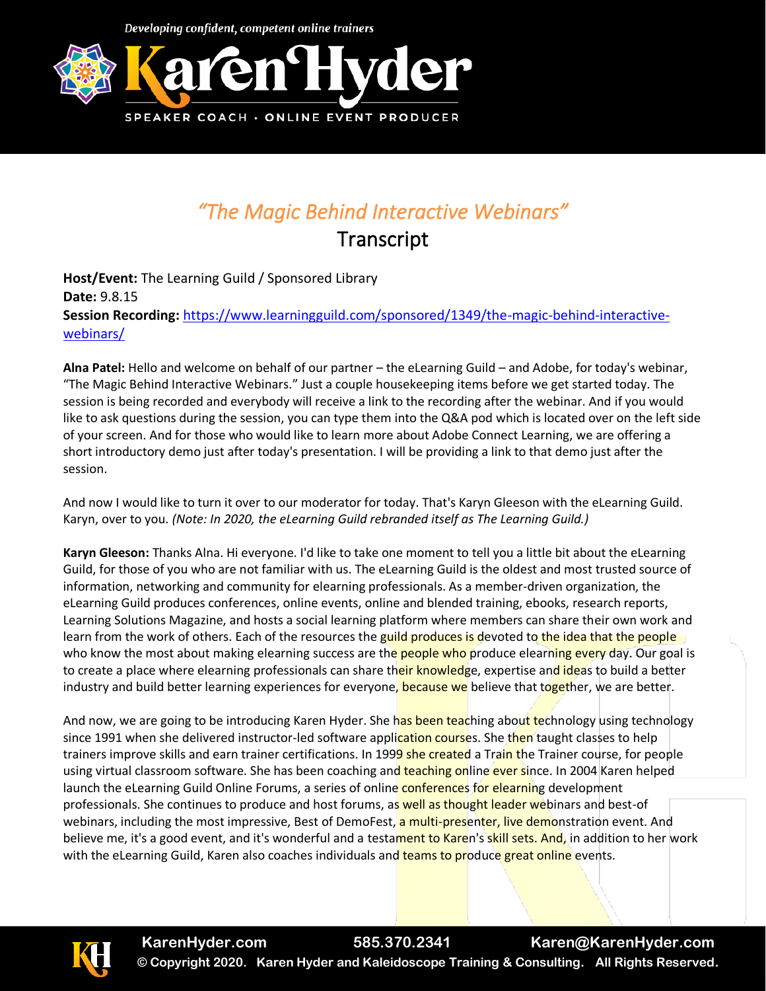

## *"The Magic Behind Interactive Webinars"*

**Transcript** 

**Host/Event:** The Learning Guild / Sponsored Library **Date:** 9.8.15 **Session Recording:** [https://www.learningguild.com/sponsored/1349/the-magic-behind-interactive](https://www.learningguild.com/sponsored/1349/the-magic-behind-interactive-webinars/)[webinars/](https://www.learningguild.com/sponsored/1349/the-magic-behind-interactive-webinars/)

**Alna Patel:** Hello and welcome on behalf of our partner – the eLearning Guild – and Adobe, for today's webinar, "The Magic Behind Interactive Webinars." Just a couple housekeeping items before we get started today. The session is being recorded and everybody will receive a link to the recording after the webinar. And if you would like to ask questions during the session, you can type them into the Q&A pod which is located over on the left side of your screen. And for those who would like to learn more about Adobe Connect Learning, we are offering a short introductory demo just after today's presentation. I will be providing a link to that demo just after the session.

And now I would like to turn it over to our moderator for today. That's Karyn Gleeson with the eLearning Guild. Karyn, over to you. *(Note: In 2020, the eLearning Guild rebranded itself as The Learning Guild.)*

**Karyn Gleeson:** Thanks Alna. Hi everyone. I'd like to take one moment to tell you a little bit about the eLearning Guild, for those of you who are not familiar with us. The eLearning Guild is the oldest and most trusted source of information, networking and community for elearning professionals. As a member-driven organization, the eLearning Guild produces conferences, online events, online and blended training, ebooks, research reports, Learning Solutions Magazine, and hosts a social learning platform where members can share their own work and learn from the work of others. Each of the resources the guild produces is devoted to the idea that the people who know the most about making elearning success are the people who produce elearning every day. Our goal is to create a place where elearning professionals can share their knowledge, expertise and ideas to build a better industry and build better learning experiences for everyone, because we believe that together, we are better.

And now, we are going to be introducing Karen Hyder. She has been teaching about technology using technology since 1991 when she delivered instructor-led software application courses. She then taught classes to help trainers improve skills and earn trainer certifications. In 1999 she created a Train the Trainer course, for people using virtual classroom software. She has been coaching and teaching online ever since. In 2004 Karen helped launch the eLearning Guild Online Forums, a series of online conferences for elearning development professionals. She continues to produce and host forums, as well as thought leader webinars and best-of webinars, including the most impressive, Best of DemoFest, a multi-presenter, live demonstration event. And believe me, it's a good event, and it's wonderful and a testament to Karen's skill sets. And, in addition to her work with the eLearning Guild, Karen also coaches individuals and teams to produce great online events.

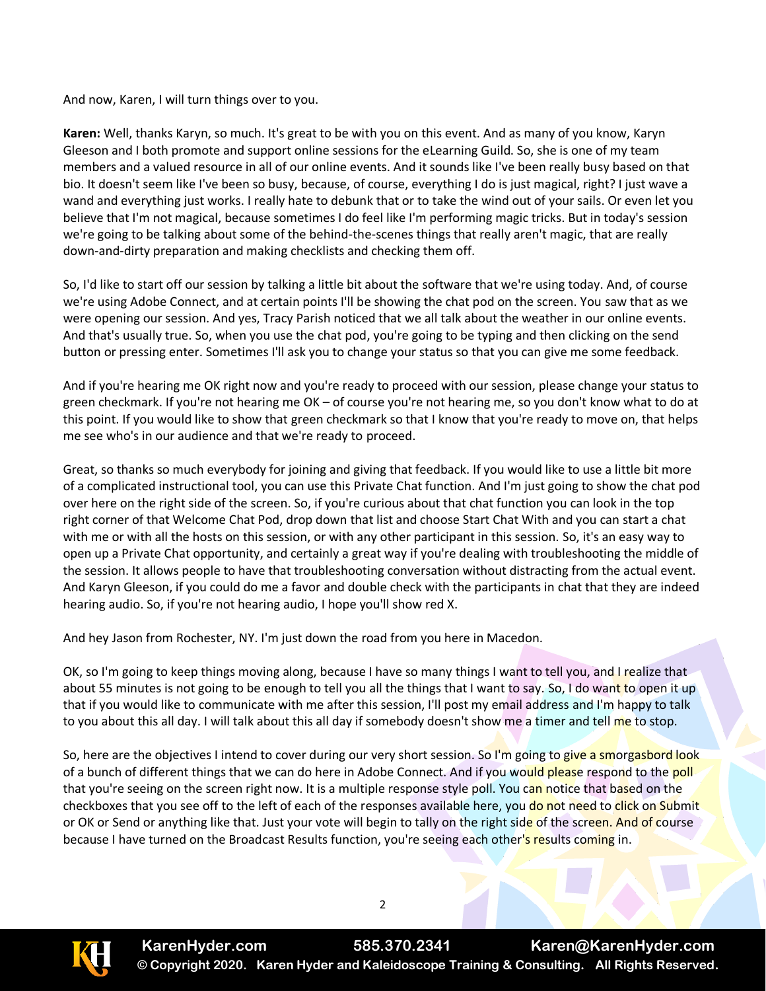And now, Karen, I will turn things over to you.

**Karen:** Well, thanks Karyn, so much. It's great to be with you on this event. And as many of you know, Karyn Gleeson and I both promote and support online sessions for the eLearning Guild. So, she is one of my team members and a valued resource in all of our online events. And it sounds like I've been really busy based on that bio. It doesn't seem like I've been so busy, because, of course, everything I do is just magical, right? I just wave a wand and everything just works. I really hate to debunk that or to take the wind out of your sails. Or even let you believe that I'm not magical, because sometimes I do feel like I'm performing magic tricks. But in today's session we're going to be talking about some of the behind-the-scenes things that really aren't magic, that are really down-and-dirty preparation and making checklists and checking them off.

So, I'd like to start off our session by talking a little bit about the software that we're using today. And, of course we're using Adobe Connect, and at certain points I'll be showing the chat pod on the screen. You saw that as we were opening our session. And yes, Tracy Parish noticed that we all talk about the weather in our online events. And that's usually true. So, when you use the chat pod, you're going to be typing and then clicking on the send button or pressing enter. Sometimes I'll ask you to change your status so that you can give me some feedback.

And if you're hearing me OK right now and you're ready to proceed with our session, please change your status to green checkmark. If you're not hearing me OK – of course you're not hearing me, so you don't know what to do at this point. If you would like to show that green checkmark so that I know that you're ready to move on, that helps me see who's in our audience and that we're ready to proceed.

Great, so thanks so much everybody for joining and giving that feedback. If you would like to use a little bit more of a complicated instructional tool, you can use this Private Chat function. And I'm just going to show the chat pod over here on the right side of the screen. So, if you're curious about that chat function you can look in the top right corner of that Welcome Chat Pod, drop down that list and choose Start Chat With and you can start a chat with me or with all the hosts on this session, or with any other participant in this session. So, it's an easy way to open up a Private Chat opportunity, and certainly a great way if you're dealing with troubleshooting the middle of the session. It allows people to have that troubleshooting conversation without distracting from the actual event. And Karyn Gleeson, if you could do me a favor and double check with the participants in chat that they are indeed hearing audio. So, if you're not hearing audio, I hope you'll show red X.

And hey Jason from Rochester, NY. I'm just down the road from you here in Macedon.

OK, so I'm going to keep things moving along, because I have so many things I want to tell you, and I realize that about 55 minutes is not going to be enough to tell you all the things that I want to say. So, I do want to open it up that if you would like to communicate with me after this session, I'll post my email address and I'm happy to talk to you about this all day. I will talk about this all day if somebody doesn't show me a timer and tell me to stop.

So, here are the objectives I intend to cover during our very short session. So I'm going to give a smorgasbord look of a bunch of different things that we can do here in Adobe Connect. And if you would please respond to the poll that you're seeing on the screen right now. It is a multiple response style poll. You can notice that based on the checkboxes that you see off to the left of each of the responses available here, you do not need to click on Submit or OK or Send or anything like that. Just your vote will begin to tally on the right side of the screen. And of course because I have turned on the Broadcast Results function, you're seeing each other's results coming in.

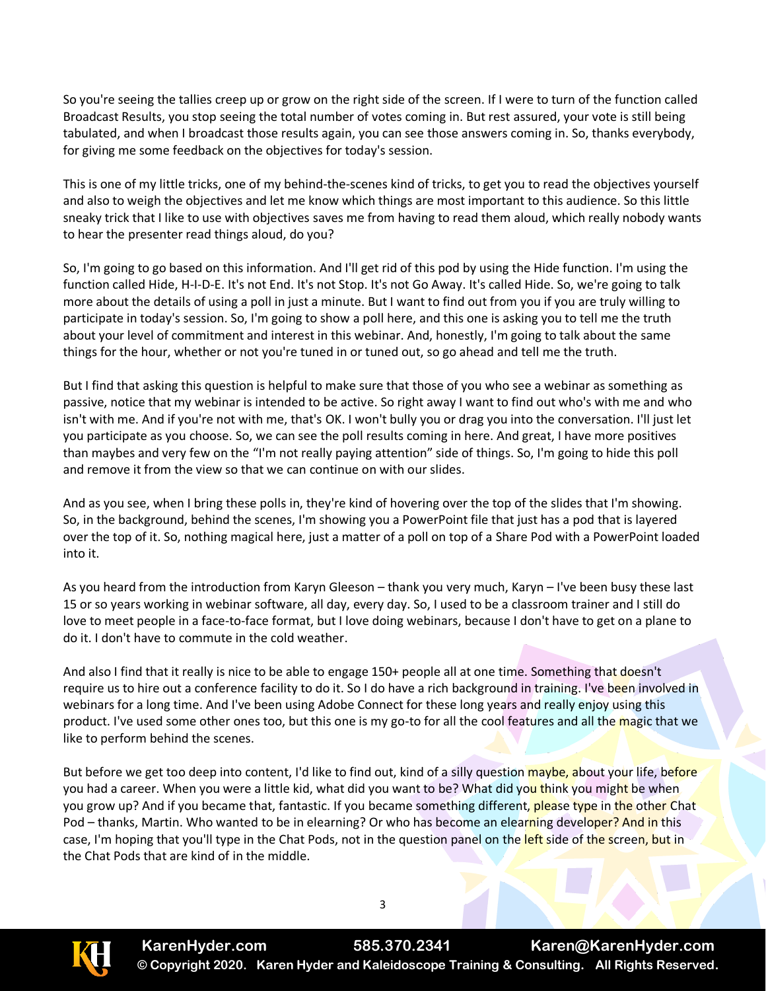So you're seeing the tallies creep up or grow on the right side of the screen. If I were to turn of the function called Broadcast Results, you stop seeing the total number of votes coming in. But rest assured, your vote is still being tabulated, and when I broadcast those results again, you can see those answers coming in. So, thanks everybody, for giving me some feedback on the objectives for today's session.

This is one of my little tricks, one of my behind-the-scenes kind of tricks, to get you to read the objectives yourself and also to weigh the objectives and let me know which things are most important to this audience. So this little sneaky trick that I like to use with objectives saves me from having to read them aloud, which really nobody wants to hear the presenter read things aloud, do you?

So, I'm going to go based on this information. And I'll get rid of this pod by using the Hide function. I'm using the function called Hide, H-I-D-E. It's not End. It's not Stop. It's not Go Away. It's called Hide. So, we're going to talk more about the details of using a poll in just a minute. But I want to find out from you if you are truly willing to participate in today's session. So, I'm going to show a poll here, and this one is asking you to tell me the truth about your level of commitment and interest in this webinar. And, honestly, I'm going to talk about the same things for the hour, whether or not you're tuned in or tuned out, so go ahead and tell me the truth.

But I find that asking this question is helpful to make sure that those of you who see a webinar as something as passive, notice that my webinar is intended to be active. So right away I want to find out who's with me and who isn't with me. And if you're not with me, that's OK. I won't bully you or drag you into the conversation. I'll just let you participate as you choose. So, we can see the poll results coming in here. And great, I have more positives than maybes and very few on the "I'm not really paying attention" side of things. So, I'm going to hide this poll and remove it from the view so that we can continue on with our slides.

And as you see, when I bring these polls in, they're kind of hovering over the top of the slides that I'm showing. So, in the background, behind the scenes, I'm showing you a PowerPoint file that just has a pod that is layered over the top of it. So, nothing magical here, just a matter of a poll on top of a Share Pod with a PowerPoint loaded into it.

As you heard from the introduction from Karyn Gleeson – thank you very much, Karyn – I've been busy these last 15 or so years working in webinar software, all day, every day. So, I used to be a classroom trainer and I still do love to meet people in a face-to-face format, but I love doing webinars, because I don't have to get on a plane to do it. I don't have to commute in the cold weather.

And also I find that it really is nice to be able to engage 150+ people all at one time. Something that doesn't require us to hire out a conference facility to do it. So I do have a rich background in training. I've been involved in webinars for a long time. And I've been using Adobe Connect for these long years and really enjoy using this product. I've used some other ones too, but this one is my go-to for all the cool features and all the magic that we like to perform behind the scenes.

But before we get too deep into content, I'd like to find out, kind of a silly question maybe, about your life, before you had a career. When you were a little kid, what did you want to be? What did you think you might be when you grow up? And if you became that, fantastic. If you became something different, please type in the other Chat Pod – thanks, Martin. Who wanted to be in elearning? Or who has become an elearning developer? And in this case, I'm hoping that you'll type in the Chat Pods, not in the question panel on the left side of the screen, but in the Chat Pods that are kind of in the middle.

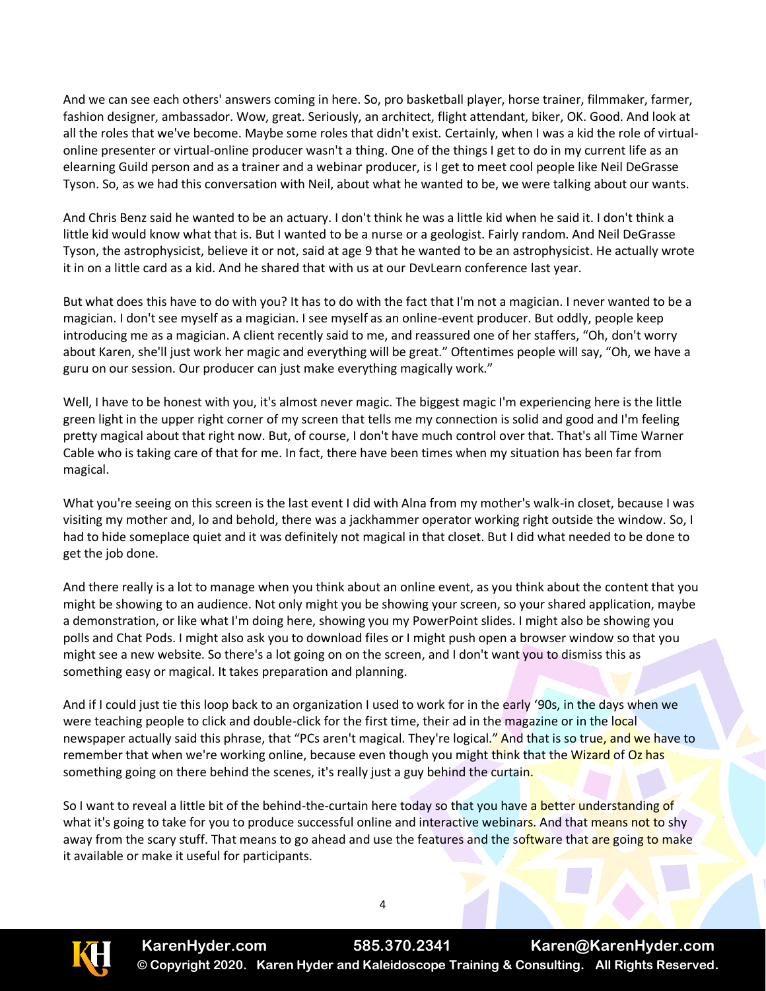And we can see each others' answers coming in here. So, pro basketball player, horse trainer, filmmaker, farmer, fashion designer, ambassador. Wow, great. Seriously, an architect, flight attendant, biker, OK. Good. And look at all the roles that we've become. Maybe some roles that didn't exist. Certainly, when I was a kid the role of virtualonline presenter or virtual-online producer wasn't a thing. One of the things I get to do in my current life as an elearning Guild person and as a trainer and a webinar producer, is I get to meet cool people like Neil DeGrasse Tyson. So, as we had this conversation with Neil, about what he wanted to be, we were talking about our wants.

And Chris Benz said he wanted to be an actuary. I don't think he was a little kid when he said it. I don't think a little kid would know what that is. But I wanted to be a nurse or a geologist. Fairly random. And Neil DeGrasse Tyson, the astrophysicist, believe it or not, said at age 9 that he wanted to be an astrophysicist. He actually wrote it in on a little card as a kid. And he shared that with us at our DevLearn conference last year.

But what does this have to do with you? It has to do with the fact that I'm not a magician. I never wanted to be a magician. I don't see myself as a magician. I see myself as an online-event producer. But oddly, people keep introducing me as a magician. A client recently said to me, and reassured one of her staffers, "Oh, don't worry about Karen, she'll just work her magic and everything will be great." Oftentimes people will say, "Oh, we have a guru on our session. Our producer can just make everything magically work."

Well, I have to be honest with you, it's almost never magic. The biggest magic I'm experiencing here is the little green light in the upper right corner of my screen that tells me my connection is solid and good and I'm feeling pretty magical about that right now. But, of course, I don't have much control over that. That's all Time Warner Cable who is taking care of that for me. In fact, there have been times when my situation has been far from magical.

What you're seeing on this screen is the last event I did with Alna from my mother's walk-in closet, because I was visiting my mother and, lo and behold, there was a jackhammer operator working right outside the window. So, I had to hide someplace quiet and it was definitely not magical in that closet. But I did what needed to be done to get the job done.

And there really is a lot to manage when you think about an online event, as you think about the content that you might be showing to an audience. Not only might you be showing your screen, so your shared application, maybe a demonstration, or like what I'm doing here, showing you my PowerPoint slides. I might also be showing you polls and Chat Pods. I might also ask you to download files or I might push open a browser window so that you might see a new website. So there's a lot going on on the screen, and I don't want you to dismiss this as something easy or magical. It takes preparation and planning.

And if I could just tie this loop back to an organization I used to work for in the early '90s, in the days when we were teaching people to click and double-click for the first time, their ad in the magazine or in the local newspaper actually said this phrase, that "PCs aren't magical. They're logical." And that is so true, and we have to remember that when we're working online, because even though you might think that the Wizard of Oz has something going on there behind the scenes, it's really just a guy behind the curtain.

So I want to reveal a little bit of the behind-the-curtain here today so that you have a better understanding of what it's going to take for you to produce successful online and interactive webinars. And that means not to shy away from the scary stuff. That means to go ahead and use the features and the software that are going to make it available or make it useful for participants.

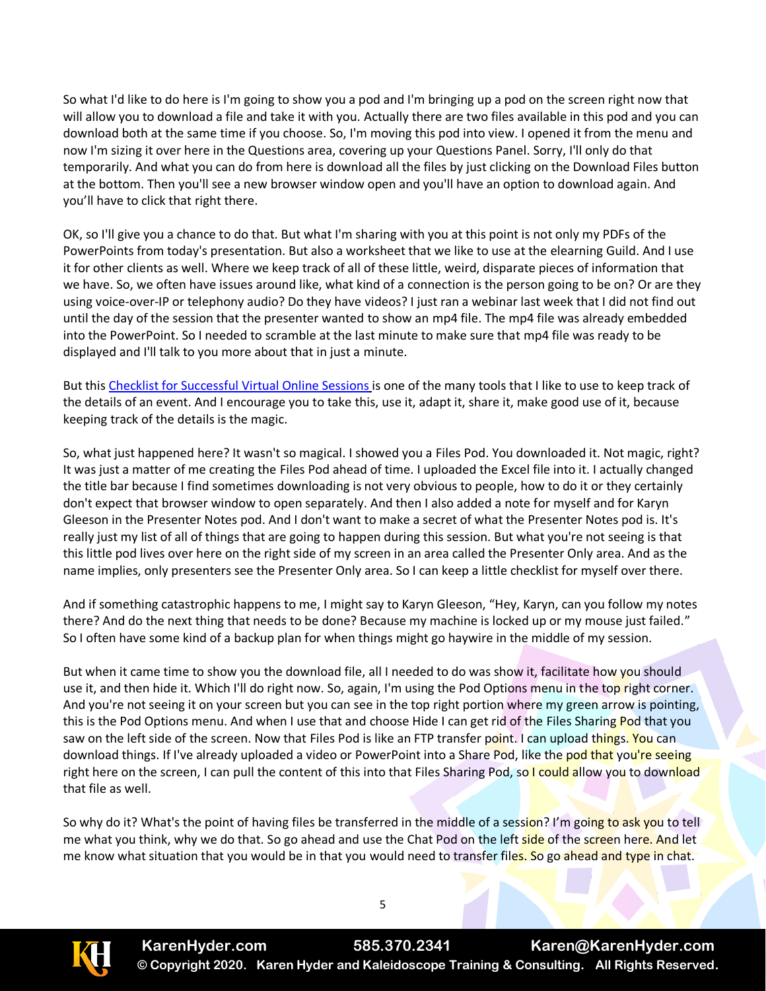So what I'd like to do here is I'm going to show you a pod and I'm bringing up a pod on the screen right now that will allow you to download a file and take it with you. Actually there are two files available in this pod and you can download both at the same time if you choose. So, I'm moving this pod into view. I opened it from the menu and now I'm sizing it over here in the Questions area, covering up your Questions Panel. Sorry, I'll only do that temporarily. And what you can do from here is download all the files by just clicking on the Download Files button at the bottom. Then you'll see a new browser window open and you'll have an option to download again. And you'll have to click that right there.

OK, so I'll give you a chance to do that. But what I'm sharing with you at this point is not only my PDFs of the PowerPoints from today's presentation. But also a worksheet that we like to use at the elearning Guild. And I use it for other clients as well. Where we keep track of all of these little, weird, disparate pieces of information that we have. So, we often have issues around like, what kind of a connection is the person going to be on? Or are they using voice-over-IP or telephony audio? Do they have videos? I just ran a webinar last week that I did not find out until the day of the session that the presenter wanted to show an mp4 file. The mp4 file was already embedded into the PowerPoint. So I needed to scramble at the last minute to make sure that mp4 file was ready to be displayed and I'll talk to you more about that in just a minute.

But this [Checklist for Successful Virtual Online Sessions](file:///C:/CC%20from%20HP/Ericson%20Bus%20Comm/Clients%20Current/Kaleidoscope/Transcripts/Hyder%20Checklist%20for%20Successful%20Virtual%20Online%20Sessions.xlsx) is one of the many tools that I like to use to keep track of the details of an event. And I encourage you to take this, use it, adapt it, share it, make good use of it, because keeping track of the details is the magic.

So, what just happened here? It wasn't so magical. I showed you a Files Pod. You downloaded it. Not magic, right? It was just a matter of me creating the Files Pod ahead of time. I uploaded the Excel file into it. I actually changed the title bar because I find sometimes downloading is not very obvious to people, how to do it or they certainly don't expect that browser window to open separately. And then I also added a note for myself and for Karyn Gleeson in the Presenter Notes pod. And I don't want to make a secret of what the Presenter Notes pod is. It's really just my list of all of things that are going to happen during this session. But what you're not seeing is that this little pod lives over here on the right side of my screen in an area called the Presenter Only area. And as the name implies, only presenters see the Presenter Only area. So I can keep a little checklist for myself over there.

And if something catastrophic happens to me, I might say to Karyn Gleeson, "Hey, Karyn, can you follow my notes there? And do the next thing that needs to be done? Because my machine is locked up or my mouse just failed." So I often have some kind of a backup plan for when things might go haywire in the middle of my session.

But when it came time to show you the download file, all I needed to do was show it, facilitate how you should use it, and then hide it. Which I'll do right now. So, again, I'm using the Pod Options menu in the top right corner. And you're not seeing it on your screen but you can see in the top right portion where my green arrow is pointing, this is the Pod Options menu. And when I use that and choose Hide I can get rid of the Files Sharing Pod that you saw on the left side of the screen. Now that Files Pod is like an FTP transfer point. I can upload things. You can download things. If I've already uploaded a video or PowerPoint into a Share Pod, like the pod that you're seeing right here on the screen, I can pull the content of this into that Files Sharing Pod, so I could allow you to download that file as well.

So why do it? What's the point of having files be transferred in the middle of a session? I'm going to ask you to tell me what you think, why we do that. So go ahead and use the Chat Pod on the left side of the screen here. And let me know what situation that you would be in that you would need to transfer files. So go ahead and type in chat.



**KarenHyder.com 585.370.2341 Karen@KarenHyder.com © Copyright 2020. Karen Hyder and Kaleidoscope Training & Consulting. All Rights Reserved.**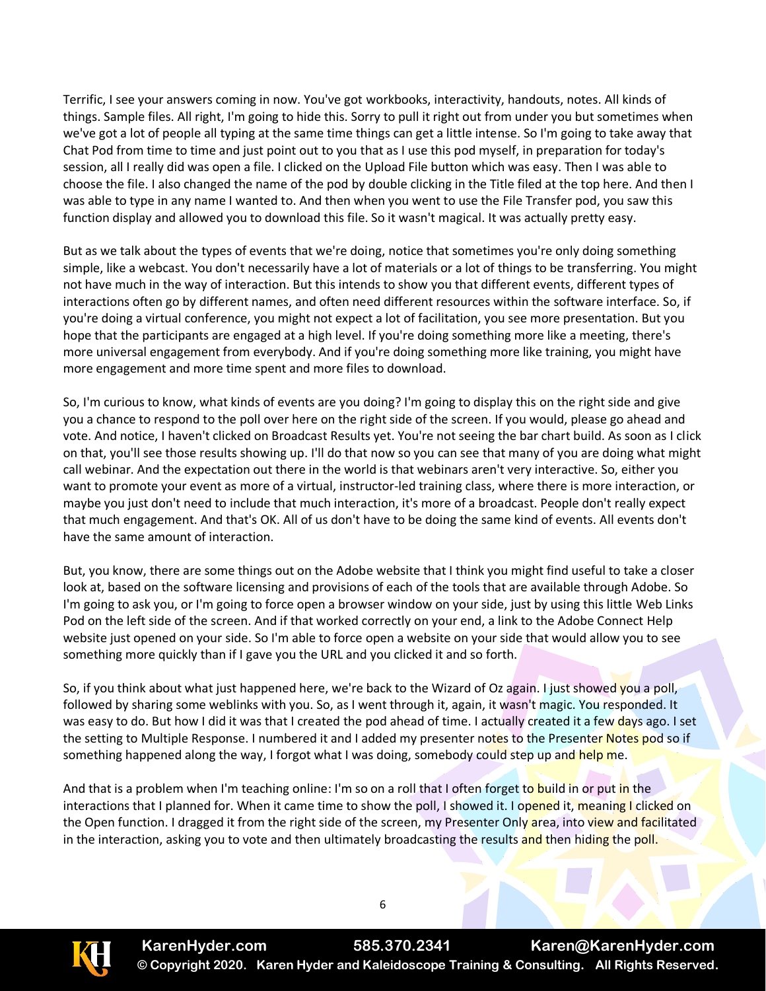Terrific, I see your answers coming in now. You've got workbooks, interactivity, handouts, notes. All kinds of things. Sample files. All right, I'm going to hide this. Sorry to pull it right out from under you but sometimes when we've got a lot of people all typing at the same time things can get a little intense. So I'm going to take away that Chat Pod from time to time and just point out to you that as I use this pod myself, in preparation for today's session, all I really did was open a file. I clicked on the Upload File button which was easy. Then I was able to choose the file. I also changed the name of the pod by double clicking in the Title filed at the top here. And then I was able to type in any name I wanted to. And then when you went to use the File Transfer pod, you saw this function display and allowed you to download this file. So it wasn't magical. It was actually pretty easy.

But as we talk about the types of events that we're doing, notice that sometimes you're only doing something simple, like a webcast. You don't necessarily have a lot of materials or a lot of things to be transferring. You might not have much in the way of interaction. But this intends to show you that different events, different types of interactions often go by different names, and often need different resources within the software interface. So, if you're doing a virtual conference, you might not expect a lot of facilitation, you see more presentation. But you hope that the participants are engaged at a high level. If you're doing something more like a meeting, there's more universal engagement from everybody. And if you're doing something more like training, you might have more engagement and more time spent and more files to download.

So, I'm curious to know, what kinds of events are you doing? I'm going to display this on the right side and give you a chance to respond to the poll over here on the right side of the screen. If you would, please go ahead and vote. And notice, I haven't clicked on Broadcast Results yet. You're not seeing the bar chart build. As soon as I click on that, you'll see those results showing up. I'll do that now so you can see that many of you are doing what might call webinar. And the expectation out there in the world is that webinars aren't very interactive. So, either you want to promote your event as more of a virtual, instructor-led training class, where there is more interaction, or maybe you just don't need to include that much interaction, it's more of a broadcast. People don't really expect that much engagement. And that's OK. All of us don't have to be doing the same kind of events. All events don't have the same amount of interaction.

But, you know, there are some things out on the Adobe website that I think you might find useful to take a closer look at, based on the software licensing and provisions of each of the tools that are available through Adobe. So I'm going to ask you, or I'm going to force open a browser window on your side, just by using this little Web Links Pod on the left side of the screen. And if that worked correctly on your end, a link to the Adobe Connect Help website just opened on your side. So I'm able to force open a website on your side that would allow you to see something more quickly than if I gave you the URL and you clicked it and so forth.

So, if you think about what just happened here, we're back to the Wizard of Oz again. I just showed you a poll, followed by sharing some weblinks with you. So, as I went through it, again, it wasn't magic. You responded. It was easy to do. But how I did it was that I created the pod ahead of time. I actually created it a few days ago. I set the setting to Multiple Response. I numbered it and I added my presenter notes to the Presenter Notes pod so if something happened along the way, I forgot what I was doing, somebody could step up and help me.

And that is a problem when I'm teaching online: I'm so on a roll that I often forget to build in or put in the interactions that I planned for. When it came time to show the poll, I showed it. I opened it, meaning I clicked on the Open function. I dragged it from the right side of the screen, my Presenter Only area, into view and facilitated in the interaction, asking you to vote and then ultimately broadcasting the results and then hiding the poll.

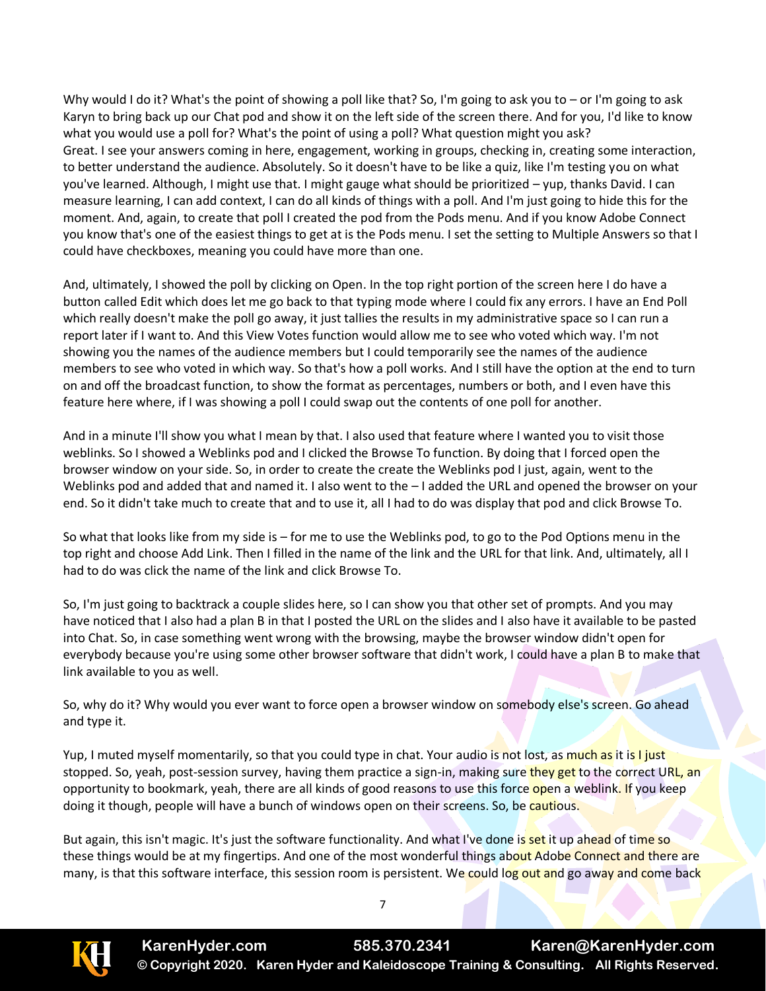Why would I do it? What's the point of showing a poll like that? So, I'm going to ask you to – or I'm going to ask Karyn to bring back up our Chat pod and show it on the left side of the screen there. And for you, I'd like to know what you would use a poll for? What's the point of using a poll? What question might you ask? Great. I see your answers coming in here, engagement, working in groups, checking in, creating some interaction, to better understand the audience. Absolutely. So it doesn't have to be like a quiz, like I'm testing you on what you've learned. Although, I might use that. I might gauge what should be prioritized – yup, thanks David. I can measure learning, I can add context, I can do all kinds of things with a poll. And I'm just going to hide this for the moment. And, again, to create that poll I created the pod from the Pods menu. And if you know Adobe Connect you know that's one of the easiest things to get at is the Pods menu. I set the setting to Multiple Answers so that I could have checkboxes, meaning you could have more than one.

And, ultimately, I showed the poll by clicking on Open. In the top right portion of the screen here I do have a button called Edit which does let me go back to that typing mode where I could fix any errors. I have an End Poll which really doesn't make the poll go away, it just tallies the results in my administrative space so I can run a report later if I want to. And this View Votes function would allow me to see who voted which way. I'm not showing you the names of the audience members but I could temporarily see the names of the audience members to see who voted in which way. So that's how a poll works. And I still have the option at the end to turn on and off the broadcast function, to show the format as percentages, numbers or both, and I even have this feature here where, if I was showing a poll I could swap out the contents of one poll for another.

And in a minute I'll show you what I mean by that. I also used that feature where I wanted you to visit those weblinks. So I showed a Weblinks pod and I clicked the Browse To function. By doing that I forced open the browser window on your side. So, in order to create the create the Weblinks pod I just, again, went to the Weblinks pod and added that and named it. I also went to the  $-1$  added the URL and opened the browser on your end. So it didn't take much to create that and to use it, all I had to do was display that pod and click Browse To.

So what that looks like from my side is – for me to use the Weblinks pod, to go to the Pod Options menu in the top right and choose Add Link. Then I filled in the name of the link and the URL for that link. And, ultimately, all I had to do was click the name of the link and click Browse To.

So, I'm just going to backtrack a couple slides here, so I can show you that other set of prompts. And you may have noticed that I also had a plan B in that I posted the URL on the slides and I also have it available to be pasted into Chat. So, in case something went wrong with the browsing, maybe the browser window didn't open for everybody because you're using some other browser software that didn't work, I could have a plan B to make that link available to you as well.

So, why do it? Why would you ever want to force open a browser window on somebody else's screen. Go ahead and type it.

Yup, I muted myself momentarily, so that you could type in chat. Your audio is not lost, as much as it is I just stopped. So, yeah, post-session survey, having them practice a sign-in, making sure they get to the correct URL, an opportunity to bookmark, yeah, there are all kinds of good reasons to use this force open a weblink. If you keep doing it though, people will have a bunch of windows open on their screens. So, be cautious.

But again, this isn't magic. It's just the software functionality. And what I've done is set it up ahead of time so these things would be at my fingertips. And one of the most wonderful things about Adobe Connect and there are many, is that this software interface, this session room is persistent. We could log out and go away and come back

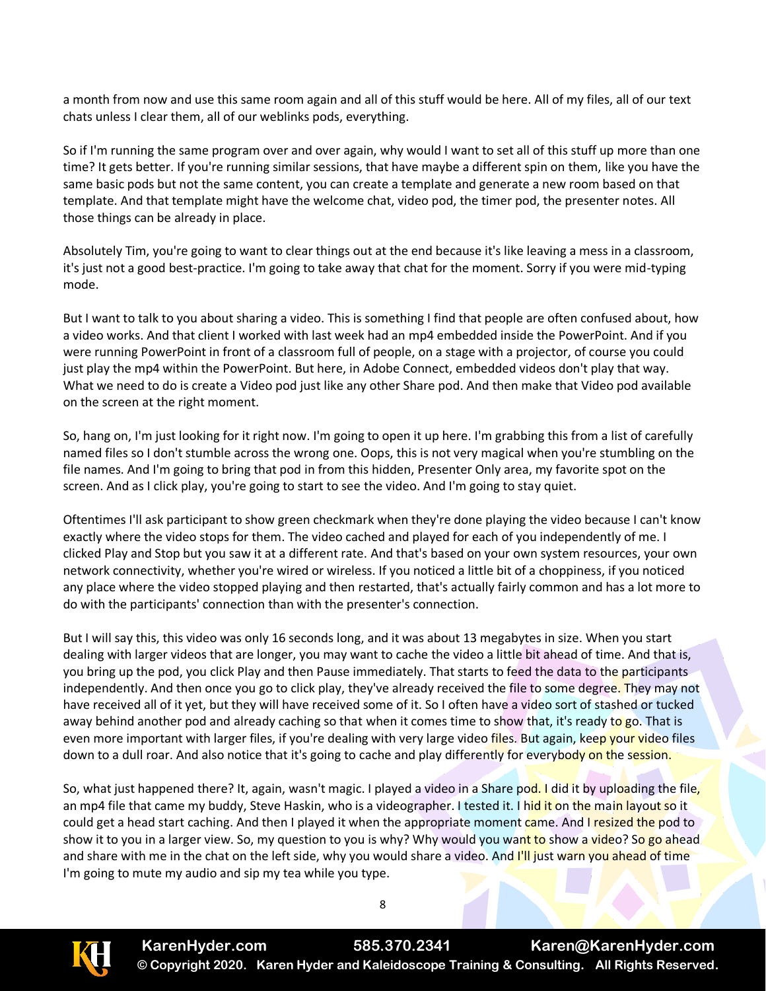a month from now and use this same room again and all of this stuff would be here. All of my files, all of our text chats unless I clear them, all of our weblinks pods, everything.

So if I'm running the same program over and over again, why would I want to set all of this stuff up more than one time? It gets better. If you're running similar sessions, that have maybe a different spin on them, like you have the same basic pods but not the same content, you can create a template and generate a new room based on that template. And that template might have the welcome chat, video pod, the timer pod, the presenter notes. All those things can be already in place.

Absolutely Tim, you're going to want to clear things out at the end because it's like leaving a mess in a classroom, it's just not a good best-practice. I'm going to take away that chat for the moment. Sorry if you were mid-typing mode.

But I want to talk to you about sharing a video. This is something I find that people are often confused about, how a video works. And that client I worked with last week had an mp4 embedded inside the PowerPoint. And if you were running PowerPoint in front of a classroom full of people, on a stage with a projector, of course you could just play the mp4 within the PowerPoint. But here, in Adobe Connect, embedded videos don't play that way. What we need to do is create a Video pod just like any other Share pod. And then make that Video pod available on the screen at the right moment.

So, hang on, I'm just looking for it right now. I'm going to open it up here. I'm grabbing this from a list of carefully named files so I don't stumble across the wrong one. Oops, this is not very magical when you're stumbling on the file names. And I'm going to bring that pod in from this hidden, Presenter Only area, my favorite spot on the screen. And as I click play, you're going to start to see the video. And I'm going to stay quiet.

Oftentimes I'll ask participant to show green checkmark when they're done playing the video because I can't know exactly where the video stops for them. The video cached and played for each of you independently of me. I clicked Play and Stop but you saw it at a different rate. And that's based on your own system resources, your own network connectivity, whether you're wired or wireless. If you noticed a little bit of a choppiness, if you noticed any place where the video stopped playing and then restarted, that's actually fairly common and has a lot more to do with the participants' connection than with the presenter's connection.

But I will say this, this video was only 16 seconds long, and it was about 13 megabytes in size. When you start dealing with larger videos that are longer, you may want to cache the video a little bit ahead of time. And that is, you bring up the pod, you click Play and then Pause immediately. That starts to feed the data to the participants independently. And then once you go to click play, they've already received the file to some degree. They may not have received all of it yet, but they will have received some of it. So I often have a video sort of stashed or tucked away behind another pod and already caching so that when it comes time to show that, it's ready to go. That is even more important with larger files, if you're dealing with very large video files. But again, keep your video files down to a dull roar. And also notice that it's going to cache and play differently for everybody on the session.

So, what just happened there? It, again, wasn't magic. I played a video in a Share pod. I did it by uploading the file, an mp4 file that came my buddy, Steve Haskin, who is a videographer. I tested it. I hid it on the main layout so it could get a head start caching. And then I played it when the appropriate moment came. And I resized the pod to show it to you in a larger view. So, my question to you is why? Why would you want to show a video? So go ahead and share with me in the chat on the left side, why you would share a video. And I'll just warn you ahead of time I'm going to mute my audio and sip my tea while you type.

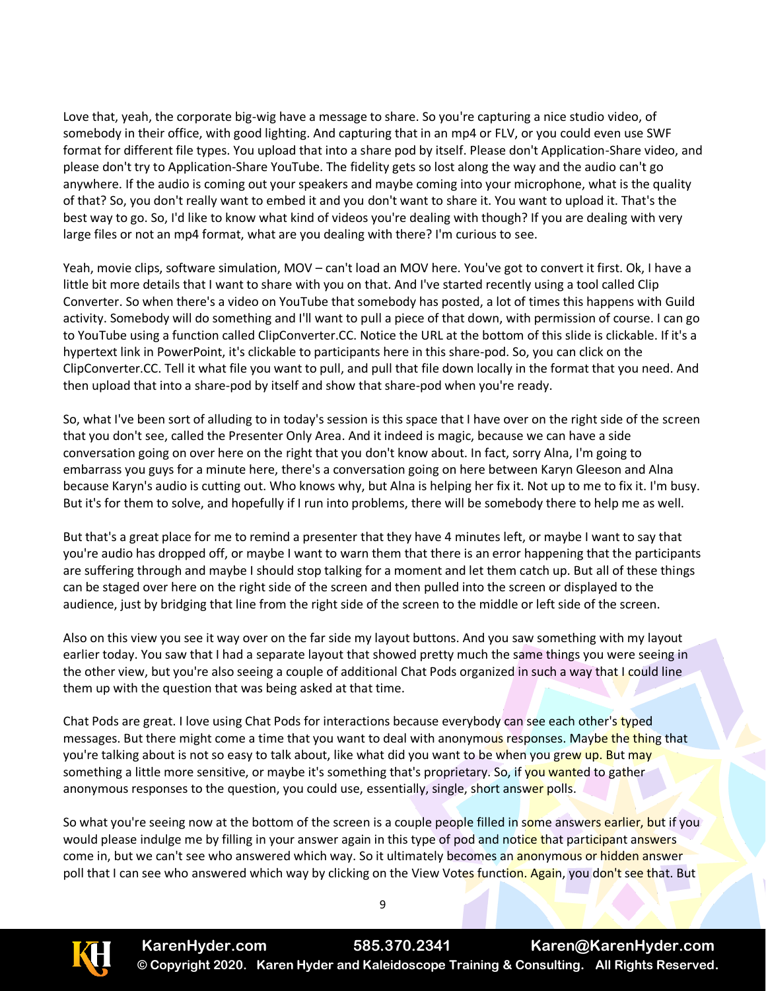Love that, yeah, the corporate big-wig have a message to share. So you're capturing a nice studio video, of somebody in their office, with good lighting. And capturing that in an mp4 or FLV, or you could even use SWF format for different file types. You upload that into a share pod by itself. Please don't Application-Share video, and please don't try to Application-Share YouTube. The fidelity gets so lost along the way and the audio can't go anywhere. If the audio is coming out your speakers and maybe coming into your microphone, what is the quality of that? So, you don't really want to embed it and you don't want to share it. You want to upload it. That's the best way to go. So, I'd like to know what kind of videos you're dealing with though? If you are dealing with very large files or not an mp4 format, what are you dealing with there? I'm curious to see.

Yeah, movie clips, software simulation, MOV – can't load an MOV here. You've got to convert it first. Ok, I have a little bit more details that I want to share with you on that. And I've started recently using a tool called Clip Converter. So when there's a video on YouTube that somebody has posted, a lot of times this happens with Guild activity. Somebody will do something and I'll want to pull a piece of that down, with permission of course. I can go to YouTube using a function called ClipConverter.CC. Notice the URL at the bottom of this slide is clickable. If it's a hypertext link in PowerPoint, it's clickable to participants here in this share-pod. So, you can click on the ClipConverter.CC. Tell it what file you want to pull, and pull that file down locally in the format that you need. And then upload that into a share-pod by itself and show that share-pod when you're ready.

So, what I've been sort of alluding to in today's session is this space that I have over on the right side of the screen that you don't see, called the Presenter Only Area. And it indeed is magic, because we can have a side conversation going on over here on the right that you don't know about. In fact, sorry Alna, I'm going to embarrass you guys for a minute here, there's a conversation going on here between Karyn Gleeson and Alna because Karyn's audio is cutting out. Who knows why, but Alna is helping her fix it. Not up to me to fix it. I'm busy. But it's for them to solve, and hopefully if I run into problems, there will be somebody there to help me as well.

But that's a great place for me to remind a presenter that they have 4 minutes left, or maybe I want to say that you're audio has dropped off, or maybe I want to warn them that there is an error happening that the participants are suffering through and maybe I should stop talking for a moment and let them catch up. But all of these things can be staged over here on the right side of the screen and then pulled into the screen or displayed to the audience, just by bridging that line from the right side of the screen to the middle or left side of the screen.

Also on this view you see it way over on the far side my layout buttons. And you saw something with my layout earlier today. You saw that I had a separate layout that showed pretty much the same things you were seeing in the other view, but you're also seeing a couple of additional Chat Pods organized in such a way that I could line them up with the question that was being asked at that time.

Chat Pods are great. I love using Chat Pods for interactions because everybody can see each other's typed messages. But there might come a time that you want to deal with anonymous responses. Maybe the thing that you're talking about is not so easy to talk about, like what did you want to be when you grew up. But may something a little more sensitive, or maybe it's something that's proprietary. So, if you wanted to gather anonymous responses to the question, you could use, essentially, single, short answer polls.

So what you're seeing now at the bottom of the screen is a couple people filled in some answers earlier, but if you would please indulge me by filling in your answer again in this type of pod and notice that participant answers come in, but we can't see who answered which way. So it ultimately becomes an **anonymous or hidden answer** poll that I can see who answered which way by clicking on the View Votes function. Again, you don't see that. But

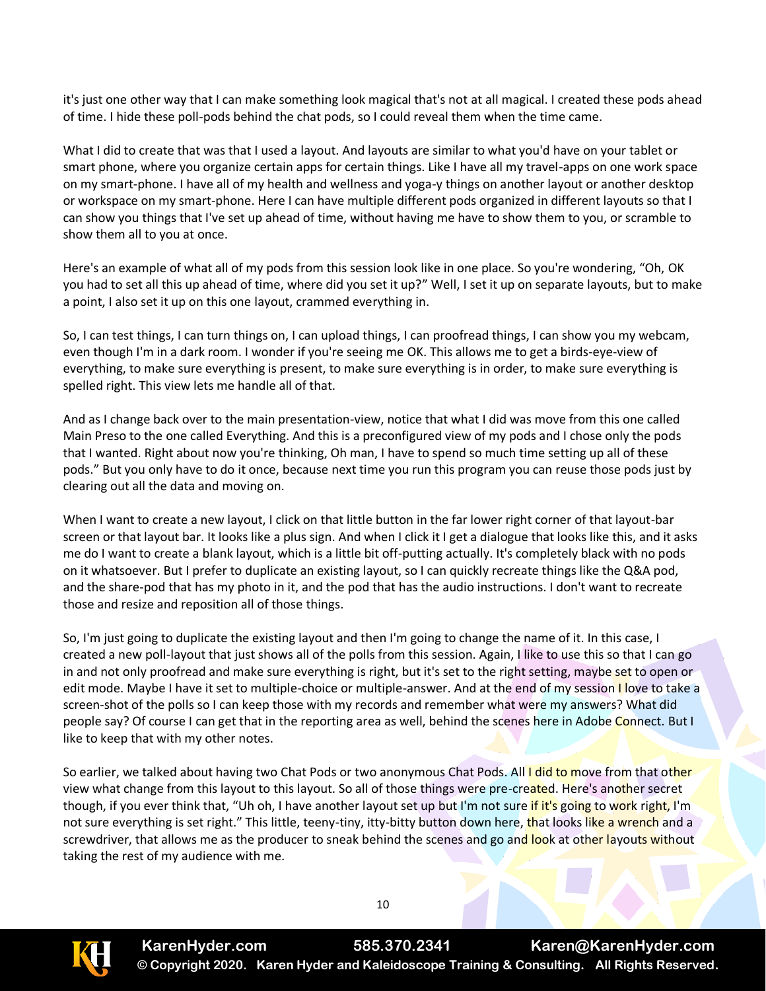it's just one other way that I can make something look magical that's not at all magical. I created these pods ahead of time. I hide these poll-pods behind the chat pods, so I could reveal them when the time came.

What I did to create that was that I used a layout. And layouts are similar to what you'd have on your tablet or smart phone, where you organize certain apps for certain things. Like I have all my travel-apps on one work space on my smart-phone. I have all of my health and wellness and yoga-y things on another layout or another desktop or workspace on my smart-phone. Here I can have multiple different pods organized in different layouts so that I can show you things that I've set up ahead of time, without having me have to show them to you, or scramble to show them all to you at once.

Here's an example of what all of my pods from this session look like in one place. So you're wondering, "Oh, OK you had to set all this up ahead of time, where did you set it up?" Well, I set it up on separate layouts, but to make a point, I also set it up on this one layout, crammed everything in.

So, I can test things, I can turn things on, I can upload things, I can proofread things, I can show you my webcam, even though I'm in a dark room. I wonder if you're seeing me OK. This allows me to get a birds-eye-view of everything, to make sure everything is present, to make sure everything is in order, to make sure everything is spelled right. This view lets me handle all of that.

And as I change back over to the main presentation-view, notice that what I did was move from this one called Main Preso to the one called Everything. And this is a preconfigured view of my pods and I chose only the pods that I wanted. Right about now you're thinking, Oh man, I have to spend so much time setting up all of these pods." But you only have to do it once, because next time you run this program you can reuse those pods just by clearing out all the data and moving on.

When I want to create a new layout, I click on that little button in the far lower right corner of that layout-bar screen or that layout bar. It looks like a plus sign. And when I click it I get a dialogue that looks like this, and it asks me do I want to create a blank layout, which is a little bit off-putting actually. It's completely black with no pods on it whatsoever. But I prefer to duplicate an existing layout, so I can quickly recreate things like the Q&A pod, and the share-pod that has my photo in it, and the pod that has the audio instructions. I don't want to recreate those and resize and reposition all of those things.

So, I'm just going to duplicate the existing layout and then I'm going to change the name of it. In this case, I created a new poll-layout that just shows all of the polls from this session. Again, I like to use this so that I can go in and not only proofread and make sure everything is right, but it's set to the right setting, maybe set to open or edit mode. Maybe I have it set to multiple-choice or multiple-answer. And at the end of my session I love to take a screen-shot of the polls so I can keep those with my records and remember what were my answers? What did people say? Of course I can get that in the reporting area as well, behind the scenes here in Adobe Connect. But I like to keep that with my other notes.

So earlier, we talked about having two Chat Pods or two anonymous Chat Pods. All I did to move from that other view what change from this layout to this layout. So all of those things were pre-created. Here's another secret though, if you ever think that, "Uh oh, I have another layout set up but I'm not sure if it's going to work right, I'm not sure everything is set right." This little, teeny-tiny, itty-bitty button down here, that looks like a wrench and a screwdriver, that allows me as the producer to sneak behind the scenes and go and look at other layouts without taking the rest of my audience with me.



**KarenHyder.com 585.370.2341 Karen@KarenHyder.com © Copyright 2020. Karen Hyder and Kaleidoscope Training & Consulting. All Rights Reserved.**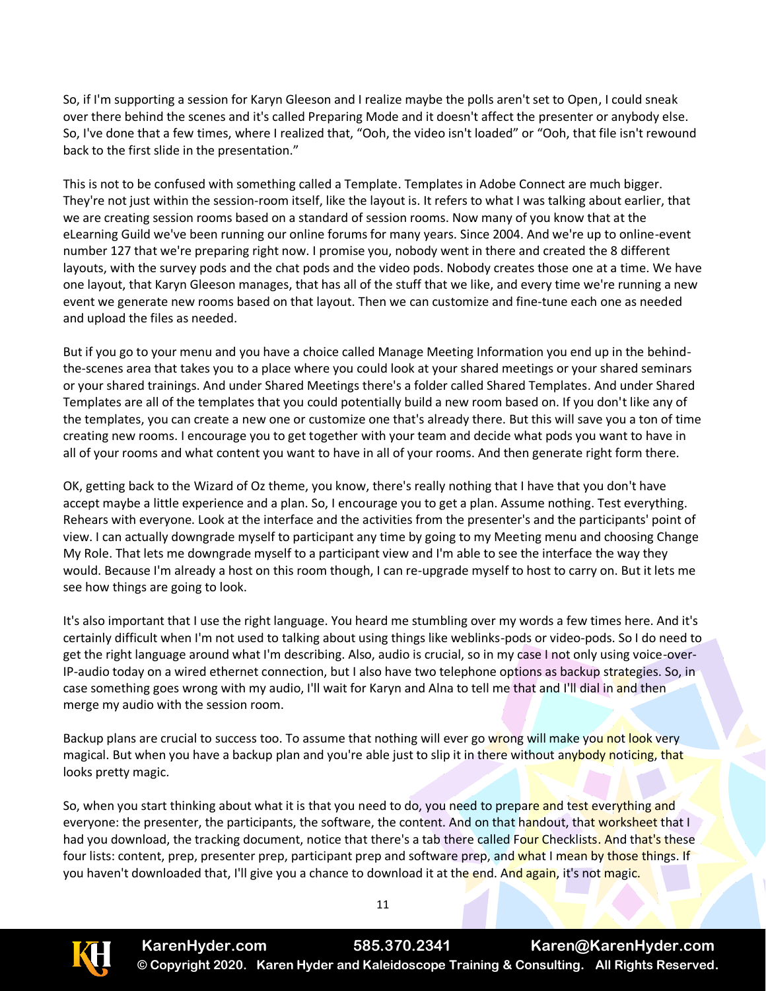So, if I'm supporting a session for Karyn Gleeson and I realize maybe the polls aren't set to Open, I could sneak over there behind the scenes and it's called Preparing Mode and it doesn't affect the presenter or anybody else. So, I've done that a few times, where I realized that, "Ooh, the video isn't loaded" or "Ooh, that file isn't rewound back to the first slide in the presentation."

This is not to be confused with something called a Template. Templates in Adobe Connect are much bigger. They're not just within the session-room itself, like the layout is. It refers to what I was talking about earlier, that we are creating session rooms based on a standard of session rooms. Now many of you know that at the eLearning Guild we've been running our online forums for many years. Since 2004. And we're up to online-event number 127 that we're preparing right now. I promise you, nobody went in there and created the 8 different layouts, with the survey pods and the chat pods and the video pods. Nobody creates those one at a time. We have one layout, that Karyn Gleeson manages, that has all of the stuff that we like, and every time we're running a new event we generate new rooms based on that layout. Then we can customize and fine-tune each one as needed and upload the files as needed.

But if you go to your menu and you have a choice called Manage Meeting Information you end up in the behindthe-scenes area that takes you to a place where you could look at your shared meetings or your shared seminars or your shared trainings. And under Shared Meetings there's a folder called Shared Templates. And under Shared Templates are all of the templates that you could potentially build a new room based on. If you don't like any of the templates, you can create a new one or customize one that's already there. But this will save you a ton of time creating new rooms. I encourage you to get together with your team and decide what pods you want to have in all of your rooms and what content you want to have in all of your rooms. And then generate right form there.

OK, getting back to the Wizard of Oz theme, you know, there's really nothing that I have that you don't have accept maybe a little experience and a plan. So, I encourage you to get a plan. Assume nothing. Test everything. Rehears with everyone. Look at the interface and the activities from the presenter's and the participants' point of view. I can actually downgrade myself to participant any time by going to my Meeting menu and choosing Change My Role. That lets me downgrade myself to a participant view and I'm able to see the interface the way they would. Because I'm already a host on this room though, I can re-upgrade myself to host to carry on. But it lets me see how things are going to look.

It's also important that I use the right language. You heard me stumbling over my words a few times here. And it's certainly difficult when I'm not used to talking about using things like weblinks-pods or video-pods. So I do need to get the right language around what I'm describing. Also, audio is crucial, so in my case I not only using voice-over-IP-audio today on a wired ethernet connection, but I also have two telephone options as backup strategies. So, in case something goes wrong with my audio, I'll wait for Karyn and Alna to tell me that and I'll dial in and then merge my audio with the session room.

Backup plans are crucial to success too. To assume that nothing will ever go wrong will make you not look very magical. But when you have a backup plan and you're able just to slip it in there without anybody noticing, that looks pretty magic.

So, when you start thinking about what it is that you need to do, you need to prepare and test everything and everyone: the presenter, the participants, the software, the content. And on that handout, that worksheet that I had you download, the tracking document, notice that there's a tab there called Four Checklists. And that's these four lists: content, prep, presenter prep, participant prep and software prep, and what I mean by those things. If you haven't downloaded that, I'll give you a chance to download it at the end. And again, it's not magic.

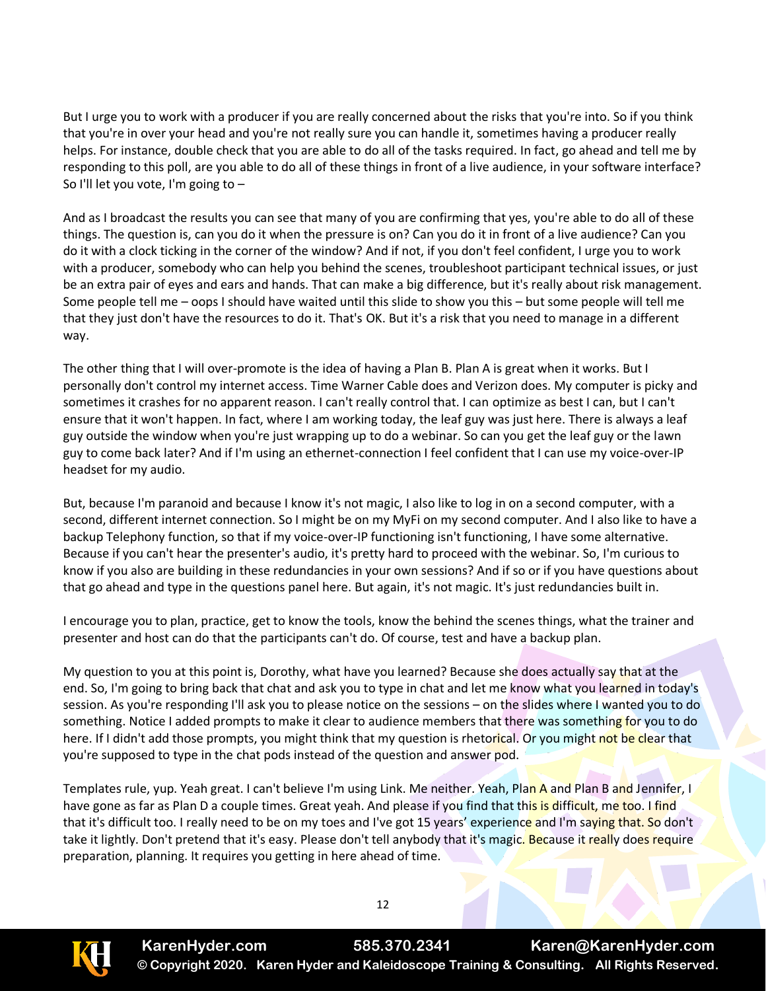But I urge you to work with a producer if you are really concerned about the risks that you're into. So if you think that you're in over your head and you're not really sure you can handle it, sometimes having a producer really helps. For instance, double check that you are able to do all of the tasks required. In fact, go ahead and tell me by responding to this poll, are you able to do all of these things in front of a live audience, in your software interface? So I'll let you vote, I'm going to –

And as I broadcast the results you can see that many of you are confirming that yes, you're able to do all of these things. The question is, can you do it when the pressure is on? Can you do it in front of a live audience? Can you do it with a clock ticking in the corner of the window? And if not, if you don't feel confident, I urge you to work with a producer, somebody who can help you behind the scenes, troubleshoot participant technical issues, or just be an extra pair of eyes and ears and hands. That can make a big difference, but it's really about risk management. Some people tell me – oops I should have waited until this slide to show you this – but some people will tell me that they just don't have the resources to do it. That's OK. But it's a risk that you need to manage in a different way.

The other thing that I will over-promote is the idea of having a Plan B. Plan A is great when it works. But I personally don't control my internet access. Time Warner Cable does and Verizon does. My computer is picky and sometimes it crashes for no apparent reason. I can't really control that. I can optimize as best I can, but I can't ensure that it won't happen. In fact, where I am working today, the leaf guy was just here. There is always a leaf guy outside the window when you're just wrapping up to do a webinar. So can you get the leaf guy or the lawn guy to come back later? And if I'm using an ethernet-connection I feel confident that I can use my voice-over-IP headset for my audio.

But, because I'm paranoid and because I know it's not magic, I also like to log in on a second computer, with a second, different internet connection. So I might be on my MyFi on my second computer. And I also like to have a backup Telephony function, so that if my voice-over-IP functioning isn't functioning, I have some alternative. Because if you can't hear the presenter's audio, it's pretty hard to proceed with the webinar. So, I'm curious to know if you also are building in these redundancies in your own sessions? And if so or if you have questions about that go ahead and type in the questions panel here. But again, it's not magic. It's just redundancies built in.

I encourage you to plan, practice, get to know the tools, know the behind the scenes things, what the trainer and presenter and host can do that the participants can't do. Of course, test and have a backup plan.

My question to you at this point is, Dorothy, what have you learned? Because she does actually say that at the end. So, I'm going to bring back that chat and ask you to type in chat and let me know what you learned in today's session. As you're responding I'll ask you to please notice on the sessions – on the slides where I wanted you to do something. Notice I added prompts to make it clear to audience members that there was something for you to do here. If I didn't add those prompts, you might think that my question is rhetorical. Or you might not be clear that you're supposed to type in the chat pods instead of the question and answer pod.

Templates rule, yup. Yeah great. I can't believe I'm using Link. Me neither. Yeah, Plan A and Plan B and Jennifer, I have gone as far as Plan D a couple times. Great yeah. And please if you find that this is difficult, me too. I find that it's difficult too. I really need to be on my toes and I've got 15 years' experience and I'm saying that. So don't take it lightly. Don't pretend that it's easy. Please don't tell anybody that it's magic. Because it really does require preparation, planning. It requires you getting in here ahead of time.



**KarenHyder.com 585.370.2341 Karen@KarenHyder.com © Copyright 2020. Karen Hyder and Kaleidoscope Training & Consulting. All Rights Reserved.**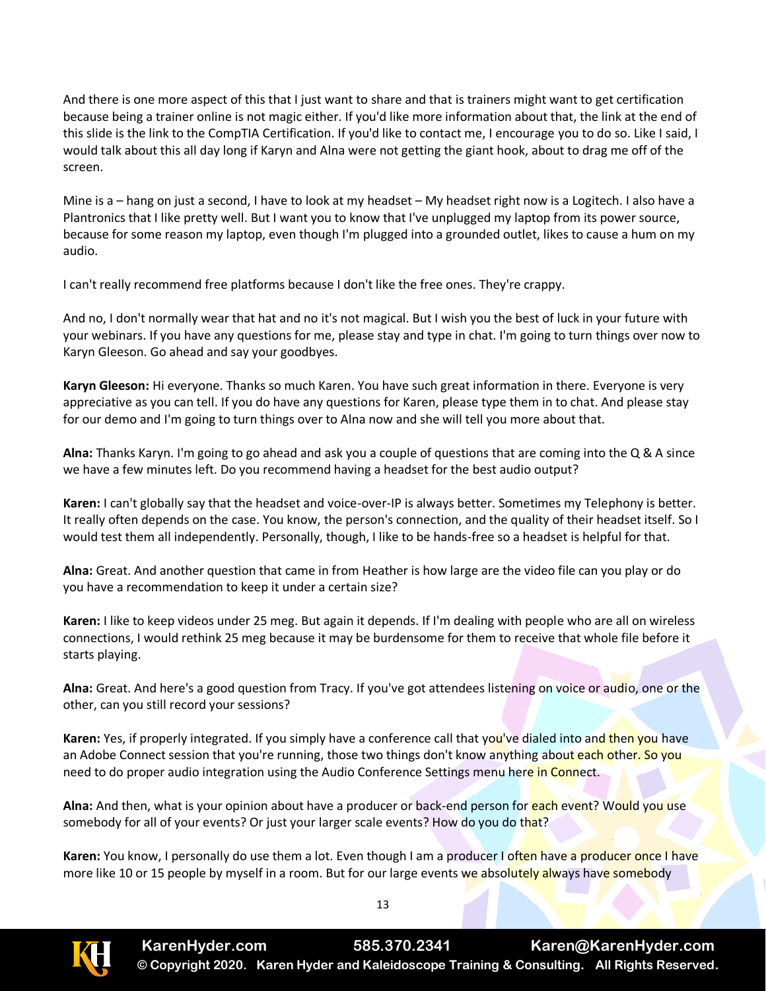And there is one more aspect of this that I just want to share and that is trainers might want to get certification because being a trainer online is not magic either. If you'd like more information about that, the link at the end of this slide is the link to the CompTIA Certification. If you'd like to contact me, I encourage you to do so. Like I said, I would talk about this all day long if Karyn and Alna were not getting the giant hook, about to drag me off of the screen.

Mine is a – hang on just a second, I have to look at my headset – My headset right now is a Logitech. I also have a Plantronics that I like pretty well. But I want you to know that I've unplugged my laptop from its power source, because for some reason my laptop, even though I'm plugged into a grounded outlet, likes to cause a hum on my audio.

I can't really recommend free platforms because I don't like the free ones. They're crappy.

And no, I don't normally wear that hat and no it's not magical. But I wish you the best of luck in your future with your webinars. If you have any questions for me, please stay and type in chat. I'm going to turn things over now to Karyn Gleeson. Go ahead and say your goodbyes.

**Karyn Gleeson:** Hi everyone. Thanks so much Karen. You have such great information in there. Everyone is very appreciative as you can tell. If you do have any questions for Karen, please type them in to chat. And please stay for our demo and I'm going to turn things over to Alna now and she will tell you more about that.

**Alna:** Thanks Karyn. I'm going to go ahead and ask you a couple of questions that are coming into the Q & A since we have a few minutes left. Do you recommend having a headset for the best audio output?

**Karen:** I can't globally say that the headset and voice-over-IP is always better. Sometimes my Telephony is better. It really often depends on the case. You know, the person's connection, and the quality of their headset itself. So I would test them all independently. Personally, though, I like to be hands-free so a headset is helpful for that.

**Alna:** Great. And another question that came in from Heather is how large are the video file can you play or do you have a recommendation to keep it under a certain size?

**Karen:** I like to keep videos under 25 meg. But again it depends. If I'm dealing with people who are all on wireless connections, I would rethink 25 meg because it may be burdensome for them to receive that whole file before it starts playing.

**Alna:** Great. And here's a good question from Tracy. If you've got attendees listening on voice or audio, one or the other, can you still record your sessions?

**Karen:** Yes, if properly integrated. If you simply have a conference call that you've dialed into and then you have an Adobe Connect session that you're running, those two things don't know anything about each other. So you need to do proper audio integration using the Audio Conference Settings menu here in Connect.

**Alna:** And then, what is your opinion about have a producer or back-end person for each event? Would you use somebody for all of your events? Or just your larger scale events? How do you do that?

**Karen:** You know, I personally do use them a lot. Even though I am a producer I often have a producer once I have more like 10 or 15 people by myself in a room. But for our large events we absolutely always have somebody